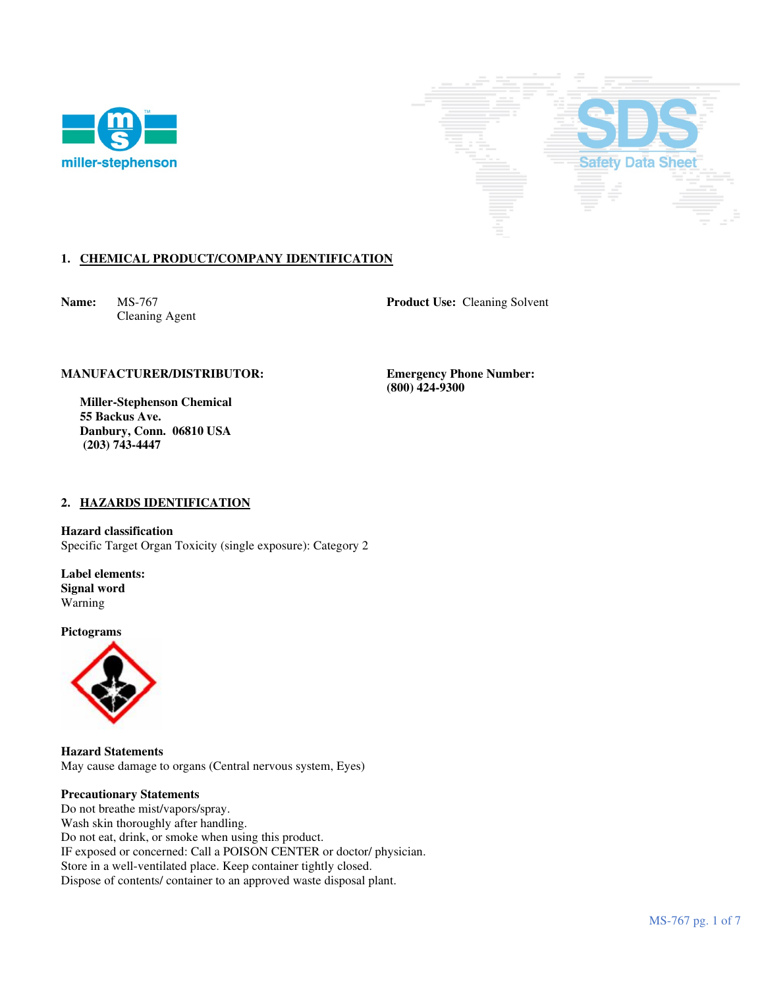



# **1. CHEMICAL PRODUCT/COMPANY IDENTIFICATION**

Cleaning Agent

**Name:** MS-767 **Product Use:** Cleaning Solvent

# **MANUFACTURER/DISTRIBUTOR: Emergency Phone Number:**

 **Miller-Stephenson Chemical 55 Backus Ave. Danbury, Conn. 06810 USA (203) 743-4447** 

 **(800) 424-9300** 

# **2. HAZARDS IDENTIFICATION**

**Hazard classification**  Specific Target Organ Toxicity (single exposure): Category 2

**Label elements: Signal word**  Warning

**Pictograms**



**Hazard Statements**  May cause damage to organs (Central nervous system, Eyes)

### **Precautionary Statements**

Do not breathe mist/vapors/spray. Wash skin thoroughly after handling. Do not eat, drink, or smoke when using this product. IF exposed or concerned: Call a POISON CENTER or doctor/ physician. Store in a well-ventilated place. Keep container tightly closed. Dispose of contents/ container to an approved waste disposal plant.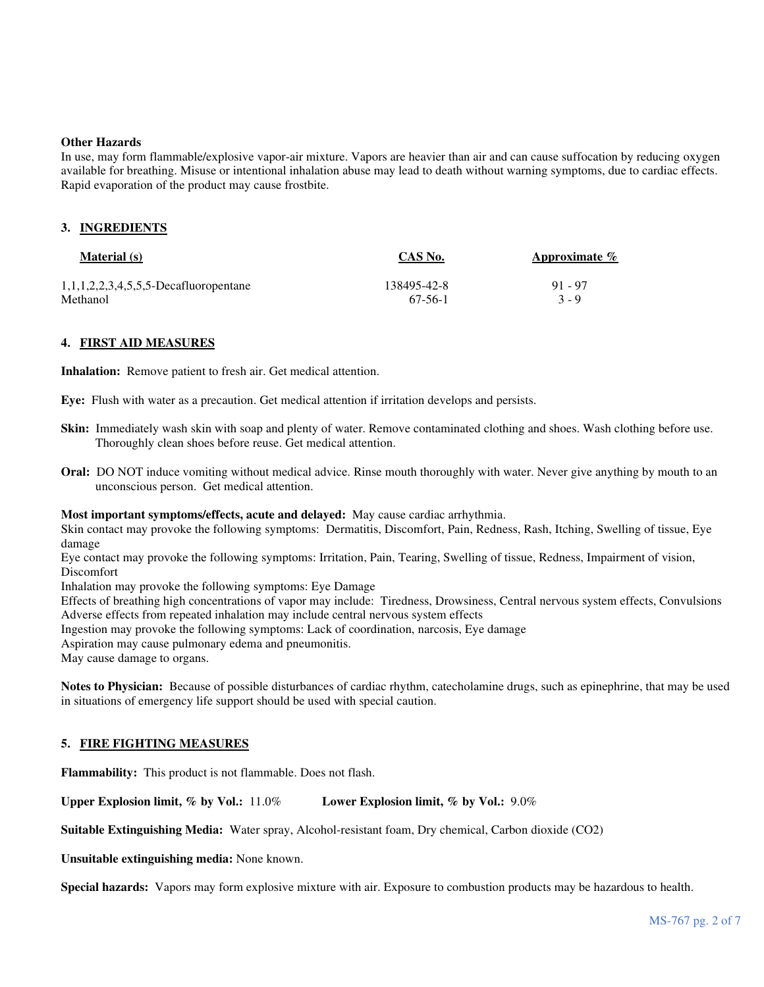#### **Other Hazards**

In use, may form flammable/explosive vapor-air mixture. Vapors are heavier than air and can cause suffocation by reducing oxygen available for breathing. Misuse or intentional inhalation abuse may lead to death without warning symptoms, due to cardiac effects. Rapid evaporation of the product may cause frostbite.

### **3. INGREDIENTS**

| <b>Material</b> (s)                   | CAS No.     | Approximate $\%$ |
|---------------------------------------|-------------|------------------|
| 1,1,1,2,2,3,4,5,5,5-Decafluoropentane | 138495-42-8 | $91 - 97$        |
| Methanol                              | 67-56-1     | $3 - 9$          |

### **4. FIRST AID MEASURES**

**Inhalation:** Remove patient to fresh air. Get medical attention.

**Eye:** Flush with water as a precaution. Get medical attention if irritation develops and persists.

- **Skin:** Immediately wash skin with soap and plenty of water. Remove contaminated clothing and shoes. Wash clothing before use. Thoroughly clean shoes before reuse. Get medical attention.
- **Oral:** DO NOT induce vomiting without medical advice. Rinse mouth thoroughly with water. Never give anything by mouth to an unconscious person. Get medical attention.

#### **Most important symptoms/effects, acute and delayed:** May cause cardiac arrhythmia.

Skin contact may provoke the following symptoms: Dermatitis, Discomfort, Pain, Redness, Rash, Itching, Swelling of tissue, Eye damage

Eye contact may provoke the following symptoms: Irritation, Pain, Tearing, Swelling of tissue, Redness, Impairment of vision, Discomfort

Inhalation may provoke the following symptoms: Eye Damage

Effects of breathing high concentrations of vapor may include: Tiredness, Drowsiness, Central nervous system effects, Convulsions Adverse effects from repeated inhalation may include central nervous system effects

Ingestion may provoke the following symptoms: Lack of coordination, narcosis, Eye damage

Aspiration may cause pulmonary edema and pneumonitis.

May cause damage to organs.

**Notes to Physician:** Because of possible disturbances of cardiac rhythm, catecholamine drugs, such as epinephrine, that may be used in situations of emergency life support should be used with special caution.

# **5. FIRE FIGHTING MEASURES**

**Flammability:** This product is not flammable. Does not flash.

**Upper Explosion limit, % by Vol.:** 11.0% **Lower Explosion limit, % by Vol.:** 9.0%

**Suitable Extinguishing Media:** Water spray, Alcohol-resistant foam, Dry chemical, Carbon dioxide (CO2)

**Unsuitable extinguishing media:** None known.

**Special hazards:** Vapors may form explosive mixture with air. Exposure to combustion products may be hazardous to health.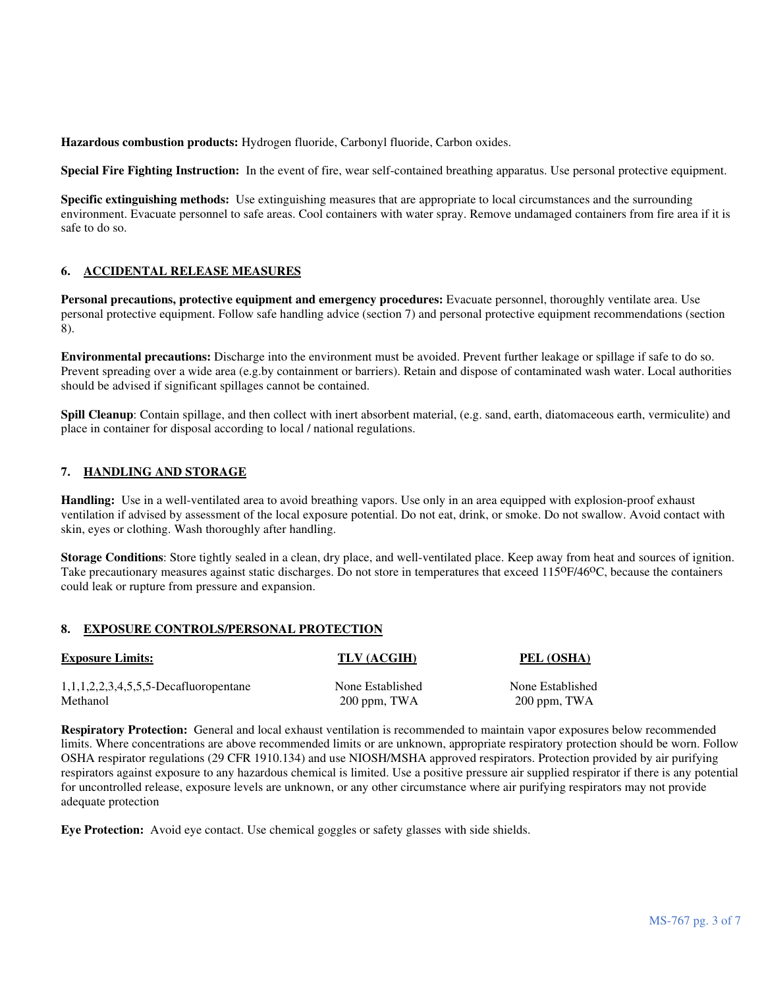**Hazardous combustion products:** Hydrogen fluoride, Carbonyl fluoride, Carbon oxides.

**Special Fire Fighting Instruction:** In the event of fire, wear self-contained breathing apparatus. Use personal protective equipment.

**Specific extinguishing methods:** Use extinguishing measures that are appropriate to local circumstances and the surrounding environment. Evacuate personnel to safe areas. Cool containers with water spray. Remove undamaged containers from fire area if it is safe to do so.

# **6. ACCIDENTAL RELEASE MEASURES**

**Personal precautions, protective equipment and emergency procedures:** Evacuate personnel, thoroughly ventilate area. Use personal protective equipment. Follow safe handling advice (section 7) and personal protective equipment recommendations (section 8).

**Environmental precautions:** Discharge into the environment must be avoided. Prevent further leakage or spillage if safe to do so. Prevent spreading over a wide area (e.g.by containment or barriers). Retain and dispose of contaminated wash water. Local authorities should be advised if significant spillages cannot be contained.

**Spill Cleanup**: Contain spillage, and then collect with inert absorbent material, (e.g. sand, earth, diatomaceous earth, vermiculite) and place in container for disposal according to local / national regulations.

### **7. HANDLING AND STORAGE**

**Handling:** Use in a well-ventilated area to avoid breathing vapors. Use only in an area equipped with explosion-proof exhaust ventilation if advised by assessment of the local exposure potential. Do not eat, drink, or smoke. Do not swallow. Avoid contact with skin, eyes or clothing. Wash thoroughly after handling.

**Storage Conditions**: Store tightly sealed in a clean, dry place, and well-ventilated place. Keep away from heat and sources of ignition. Take precautionary measures against static discharges. Do not store in temperatures that exceed 115<sup>o</sup>F/46<sup>o</sup>C, because the containers could leak or rupture from pressure and expansion.

#### **8. EXPOSURE CONTROLS/PERSONAL PROTECTION**

| <b>Exposure Limits:</b>                           | TLV (ACGIH)      | PEL (OSHA)       |
|---------------------------------------------------|------------------|------------------|
| 1, 1, 1, 2, 2, 3, 4, 5, 5, 5 - Decard uoropentane | None Established | None Established |
| Methanol                                          | $200$ ppm, TWA   | $200$ ppm, TWA   |

**Respiratory Protection:** General and local exhaust ventilation is recommended to maintain vapor exposures below recommended limits. Where concentrations are above recommended limits or are unknown, appropriate respiratory protection should be worn. Follow OSHA respirator regulations (29 CFR 1910.134) and use NIOSH/MSHA approved respirators. Protection provided by air purifying respirators against exposure to any hazardous chemical is limited. Use a positive pressure air supplied respirator if there is any potential for uncontrolled release, exposure levels are unknown, or any other circumstance where air purifying respirators may not provide adequate protection

**Eye Protection:** Avoid eye contact. Use chemical goggles or safety glasses with side shields.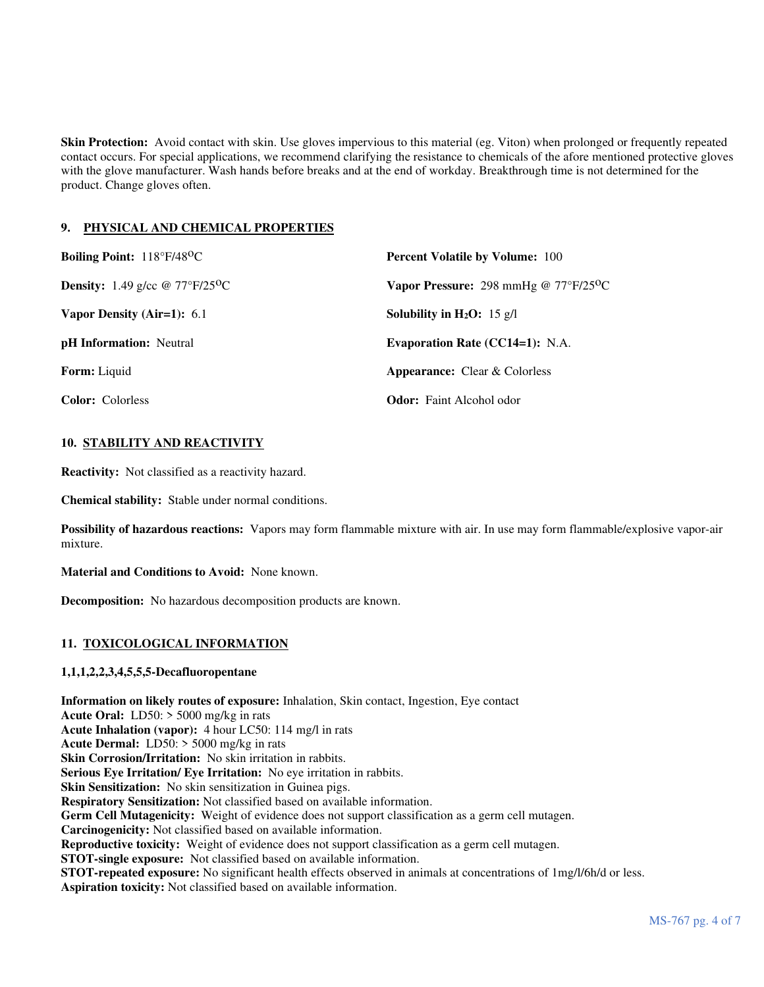**Skin Protection:** Avoid contact with skin. Use gloves impervious to this material (eg. Viton) when prolonged or frequently repeated contact occurs. For special applications, we recommend clarifying the resistance to chemicals of the afore mentioned protective gloves with the glove manufacturer. Wash hands before breaks and at the end of workday. Breakthrough time is not determined for the product. Change gloves often.

# **9. PHYSICAL AND CHEMICAL PROPERTIES**

| Boiling Point: 118°F/48°C                             | <b>Percent Volatile by Volume: 100</b>               |  |
|-------------------------------------------------------|------------------------------------------------------|--|
| <b>Density:</b> 1.49 g/cc @ $77^{\circ}F/25^{\circ}C$ | Vapor Pressure: 298 mmHg @ $77^{\circ}F/25^{\circ}C$ |  |
| Vapor Density (Air=1): $6.1$                          | <b>Solubility in H<sub>2</sub>O:</b> 15 g/l          |  |
| <b>pH</b> Information: Neutral                        | <b>Evaporation Rate (CC14=1): N.A.</b>               |  |
| <b>Form:</b> Liquid                                   | <b>Appearance:</b> Clear & Colorless                 |  |
| <b>Color:</b> Colorless                               | <b>Odor:</b> Faint Alcohol odor                      |  |

# **10. STABILITY AND REACTIVITY**

**Reactivity:** Not classified as a reactivity hazard.

**Chemical stability:** Stable under normal conditions.

**Possibility of hazardous reactions:** Vapors may form flammable mixture with air. In use may form flammable/explosive vapor-air mixture.

**Material and Conditions to Avoid:** None known.

**Decomposition:** No hazardous decomposition products are known.

# **11. TOXICOLOGICAL INFORMATION**

# **1,1,1,2,2,3,4,5,5,5-Decafluoropentane**

**Information on likely routes of exposure:** Inhalation, Skin contact, Ingestion, Eye contact **Acute Oral:** LD50: > 5000 mg/kg in rats **Acute Inhalation (vapor):** 4 hour LC50: 114 mg/l in rats **Acute Dermal:** LD50: > 5000 mg/kg in rats **Skin Corrosion/Irritation:** No skin irritation in rabbits. **Serious Eye Irritation/ Eye Irritation:** No eye irritation in rabbits. **Skin Sensitization:** No skin sensitization in Guinea pigs. **Respiratory Sensitization:** Not classified based on available information. **Germ Cell Mutagenicity:** Weight of evidence does not support classification as a germ cell mutagen. **Carcinogenicity:** Not classified based on available information. **Reproductive toxicity:** Weight of evidence does not support classification as a germ cell mutagen. **STOT-single exposure:** Not classified based on available information. **STOT-repeated exposure:** No significant health effects observed in animals at concentrations of 1mg/l/6h/d or less. **Aspiration toxicity:** Not classified based on available information.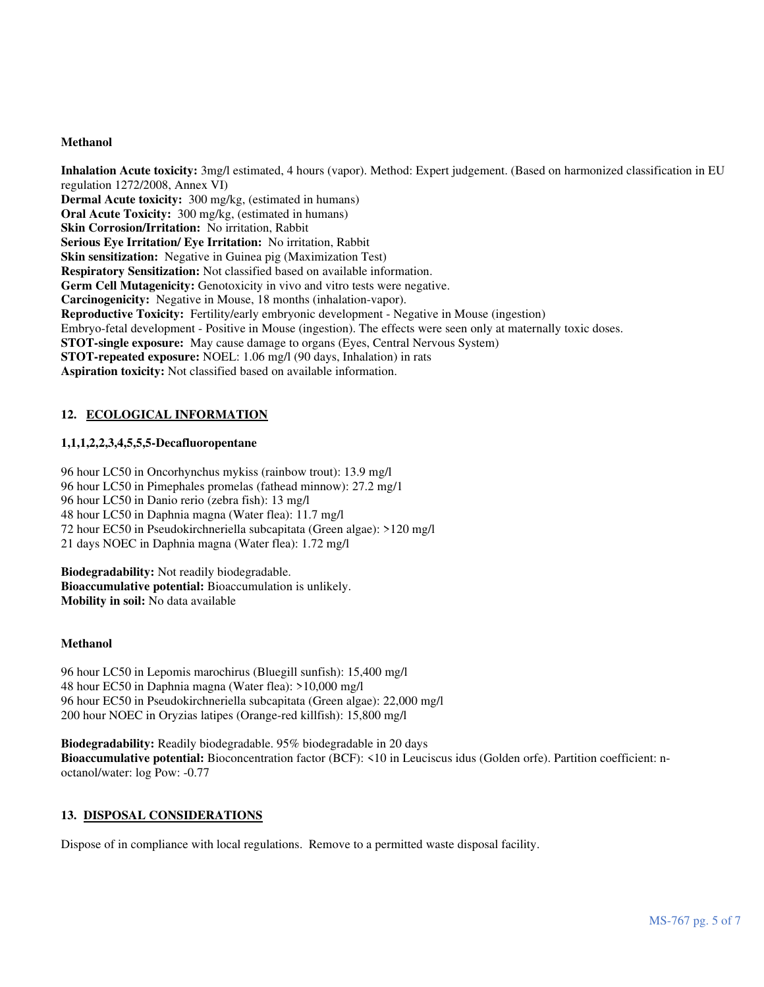#### **Methanol**

**Inhalation Acute toxicity:** 3mg/l estimated, 4 hours (vapor). Method: Expert judgement. (Based on harmonized classification in EU regulation 1272/2008, Annex VI) **Dermal Acute toxicity:** 300 mg/kg, (estimated in humans) **Oral Acute Toxicity:** 300 mg/kg, (estimated in humans) **Skin Corrosion/Irritation:** No irritation, Rabbit **Serious Eye Irritation/ Eye Irritation:** No irritation, Rabbit **Skin sensitization:** Negative in Guinea pig (Maximization Test) **Respiratory Sensitization:** Not classified based on available information. Germ Cell Mutagenicity: Genotoxicity in vivo and vitro tests were negative. **Carcinogenicity:** Negative in Mouse, 18 months (inhalation-vapor). **Reproductive Toxicity:** Fertility/early embryonic development - Negative in Mouse (ingestion) Embryo-fetal development - Positive in Mouse (ingestion). The effects were seen only at maternally toxic doses. **STOT-single exposure:** May cause damage to organs (Eyes, Central Nervous System) **STOT-repeated exposure:** NOEL: 1.06 mg/l (90 days, Inhalation) in rats **Aspiration toxicity:** Not classified based on available information.

# **12. ECOLOGICAL INFORMATION**

# **1,1,1,2,2,3,4,5,5,5-Decafluoropentane**

96 hour LC50 in Oncorhynchus mykiss (rainbow trout): 13.9 mg/l 96 hour LC50 in Pimephales promelas (fathead minnow): 27.2 mg/1 96 hour LC50 in Danio rerio (zebra fish): 13 mg/l 48 hour LC50 in Daphnia magna (Water flea): 11.7 mg/l 72 hour EC50 in Pseudokirchneriella subcapitata (Green algae): >120 mg/l 21 days NOEC in Daphnia magna (Water flea): 1.72 mg/l

**Biodegradability:** Not readily biodegradable. **Bioaccumulative potential:** Bioaccumulation is unlikely. **Mobility in soil:** No data available

#### **Methanol**

96 hour LC50 in Lepomis marochirus (Bluegill sunfish): 15,400 mg/l 48 hour EC50 in Daphnia magna (Water flea): >10,000 mg/l 96 hour EC50 in Pseudokirchneriella subcapitata (Green algae): 22,000 mg/l 200 hour NOEC in Oryzias latipes (Orange-red killfish): 15,800 mg/l

**Biodegradability:** Readily biodegradable. 95% biodegradable in 20 days **Bioaccumulative potential:** Bioconcentration factor (BCF): <10 in Leuciscus idus (Golden orfe). Partition coefficient: noctanol/water: log Pow: -0.77

# **13. DISPOSAL CONSIDERATIONS**

Dispose of in compliance with local regulations. Remove to a permitted waste disposal facility.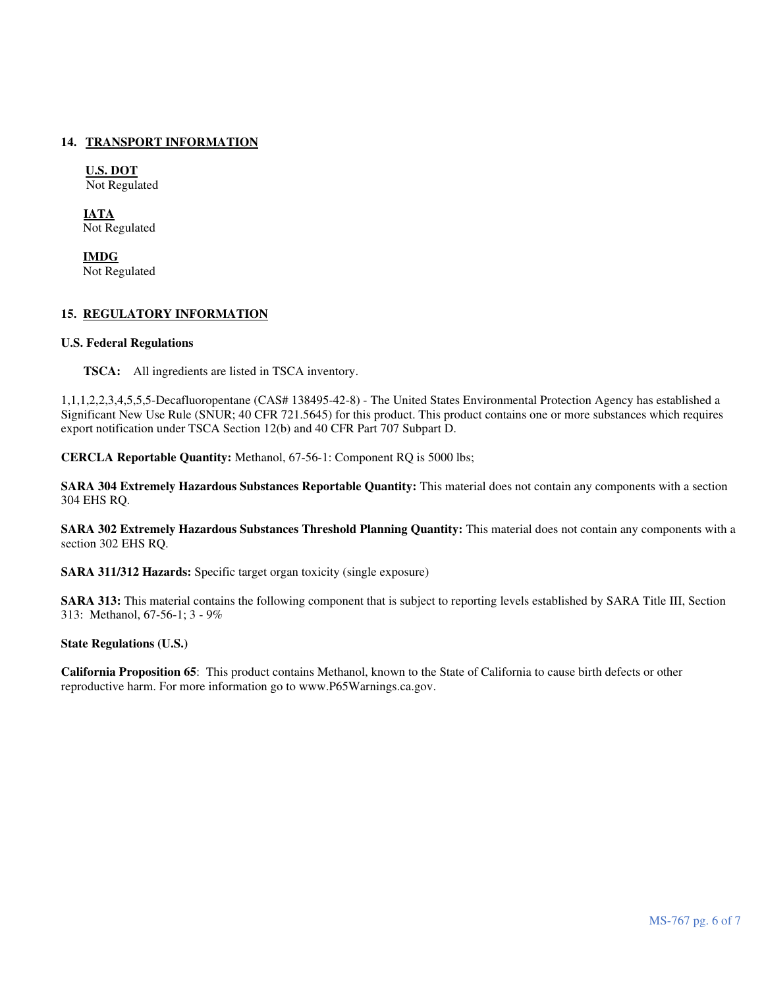# **14. TRANSPORT INFORMATION**

**U.S. DOT** Not Regulated

**IATA** Not Regulated

 **IMDG** Not Regulated

### **15. REGULATORY INFORMATION**

#### **U.S. Federal Regulations**

**TSCA:** All ingredients are listed in TSCA inventory.

1,1,1,2,2,3,4,5,5,5-Decafluoropentane (CAS# 138495-42-8) - The United States Environmental Protection Agency has established a Significant New Use Rule (SNUR; 40 CFR 721.5645) for this product. This product contains one or more substances which requires export notification under TSCA Section 12(b) and 40 CFR Part 707 Subpart D.

**CERCLA Reportable Quantity:** Methanol, 67-56-1: Component RQ is 5000 lbs;

**SARA 304 Extremely Hazardous Substances Reportable Quantity:** This material does not contain any components with a section 304 EHS RQ.

**SARA 302 Extremely Hazardous Substances Threshold Planning Quantity:** This material does not contain any components with a section 302 EHS RQ.

**SARA 311/312 Hazards:** Specific target organ toxicity (single exposure)

**SARA 313:** This material contains the following component that is subject to reporting levels established by SARA Title III, Section 313: Methanol, 67-56-1; 3 - 9%

### **State Regulations (U.S.)**

**California Proposition 65**: This product contains Methanol, known to the State of California to cause birth defects or other reproductive harm. For more information go to www.P65Warnings.ca.gov.